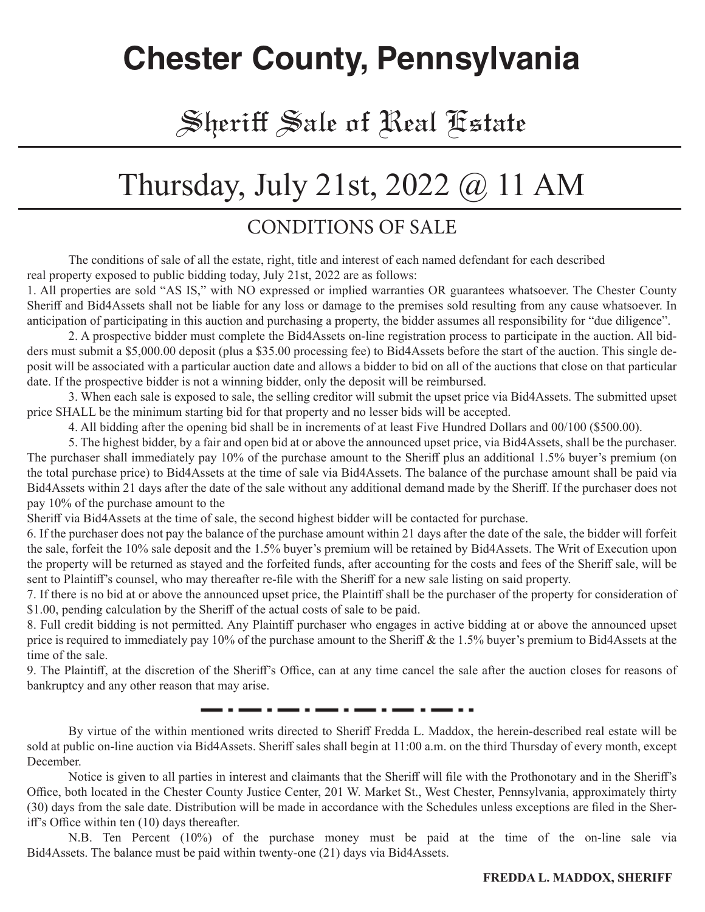# **Chester County, Pennsylvania**

# Sheriff Sale of Real Estate

# Thursday, July 21st, 2022 @ 11 AM

#### CONDITIONS OF SALE

The conditions of sale of all the estate, right, title and interest of each named defendant for each described real property exposed to public bidding today, July 21st, 2022 are as follows:

1. All properties are sold "AS IS," with NO expressed or implied warranties OR guarantees whatsoever. The Chester County Sheriff and Bid4Assets shall not be liable for any loss or damage to the premises sold resulting from any cause whatsoever. In anticipation of participating in this auction and purchasing a property, the bidder assumes all responsibility for "due diligence".

2. A prospective bidder must complete the Bid4Assets on-line registration process to participate in the auction. All bidders must submit a \$5,000.00 deposit (plus a \$35.00 processing fee) to Bid4Assets before the start of the auction. This single deposit will be associated with a particular auction date and allows a bidder to bid on all of the auctions that close on that particular date. If the prospective bidder is not a winning bidder, only the deposit will be reimbursed.

3. When each sale is exposed to sale, the selling creditor will submit the upset price via Bid4Assets. The submitted upset price SHALL be the minimum starting bid for that property and no lesser bids will be accepted.

4. All bidding after the opening bid shall be in increments of at least Five Hundred Dollars and 00/100 (\$500.00).

5. The highest bidder, by a fair and open bid at or above the announced upset price, via Bid4Assets, shall be the purchaser. The purchaser shall immediately pay 10% of the purchase amount to the Sheriff plus an additional 1.5% buyer's premium (on the total purchase price) to Bid4Assets at the time of sale via Bid4Assets. The balance of the purchase amount shall be paid via Bid4Assets within 21 days after the date of the sale without any additional demand made by the Sheriff. If the purchaser does not pay 10% of the purchase amount to the

Sheriff via Bid4Assets at the time of sale, the second highest bidder will be contacted for purchase.

6. If the purchaser does not pay the balance of the purchase amount within 21 days after the date of the sale, the bidder will forfeit the sale, forfeit the 10% sale deposit and the 1.5% buyer's premium will be retained by Bid4Assets. The Writ of Execution upon the property will be returned as stayed and the forfeited funds, after accounting for the costs and fees of the Sheriff sale, will be sent to Plaintiff's counsel, who may thereafter re-file with the Sheriff for a new sale listing on said property.

7. If there is no bid at or above the announced upset price, the Plaintiff shall be the purchaser of the property for consideration of \$1.00, pending calculation by the Sheriff of the actual costs of sale to be paid.

8. Full credit bidding is not permitted. Any Plaintiff purchaser who engages in active bidding at or above the announced upset price is required to immediately pay 10% of the purchase amount to the Sheriff & the 1.5% buyer's premium to Bid4Assets at the time of the sale.

9. The Plaintiff, at the discretion of the Sheriff's Office, can at any time cancel the sale after the auction closes for reasons of bankruptcy and any other reason that may arise.

. . . . . .

By virtue of the within mentioned writs directed to Sheriff Fredda L. Maddox, the herein-described real estate will be sold at public on-line auction via Bid4Assets. Sheriff sales shall begin at 11:00 a.m. on the third Thursday of every month, except December.

Notice is given to all parties in interest and claimants that the Sheriff will file with the Prothonotary and in the Sheriff's Office, both located in the Chester County Justice Center, 201 W. Market St., West Chester, Pennsylvania, approximately thirty (30) days from the sale date. Distribution will be made in accordance with the Schedules unless exceptions are filed in the Sheriff's Office within ten (10) days thereafter.

N.B. Ten Percent (10%) of the purchase money must be paid at the time of the on-line sale via Bid4Assets. The balance must be paid within twenty-one (21) days via Bid4Assets.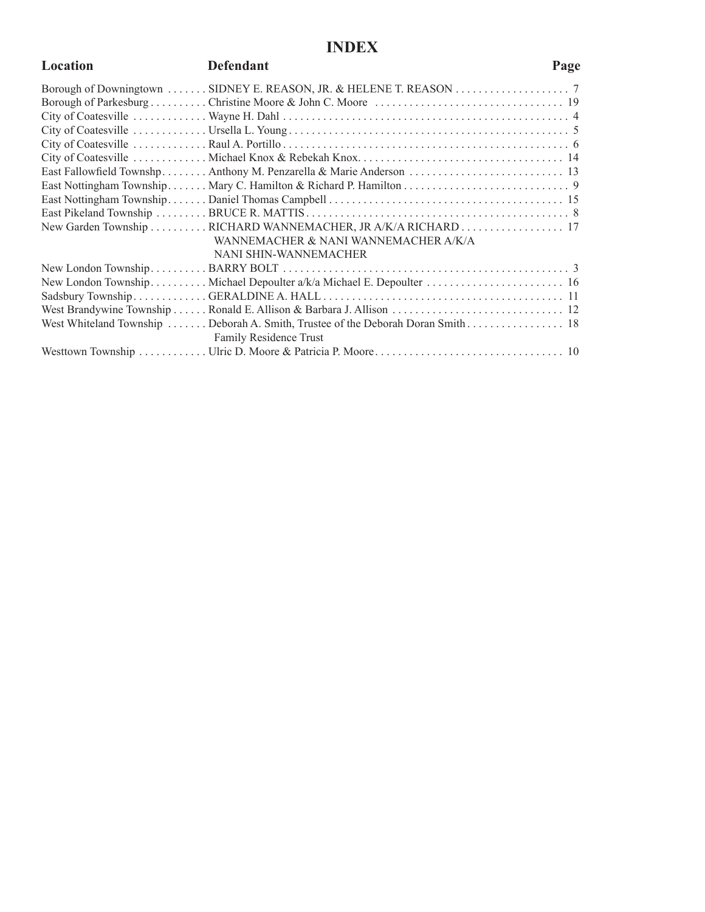#### **INDEX**

| Location | <b>Defendant</b>                                                                 | Page |
|----------|----------------------------------------------------------------------------------|------|
|          |                                                                                  |      |
|          |                                                                                  |      |
|          |                                                                                  |      |
|          |                                                                                  |      |
|          |                                                                                  |      |
|          |                                                                                  |      |
|          |                                                                                  |      |
|          |                                                                                  |      |
|          |                                                                                  |      |
|          |                                                                                  |      |
|          | New Garden Township RICHARD WANNEMACHER, JR A/K/A RICHARD  17                    |      |
|          | WANNEMACHER & NANI WANNEMACHER A/K/A                                             |      |
|          | NANI SHIN-WANNEMACHER                                                            |      |
|          |                                                                                  |      |
|          | New London Township Michael Depoulter a/k/a Michael E. Depoulter  16             |      |
|          |                                                                                  |      |
|          |                                                                                  |      |
|          | West Whiteland Township  Deborah A. Smith, Trustee of the Deborah Doran Smith 18 |      |
|          | Family Residence Trust                                                           |      |
|          |                                                                                  |      |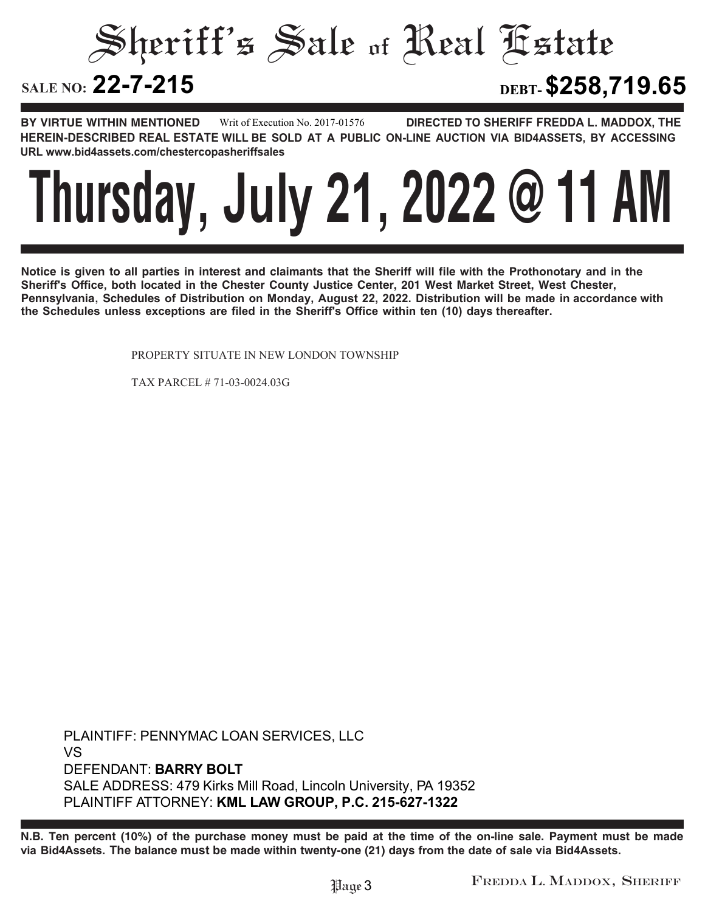Sheriff's Sale of Real Estate SALE NO: 22-7-215 **22-7-215 DEBT-\$258,719.65**

**BY VIRTUE WITHIN MENTIONED DIRECTED TO SHERIFF FREDDA L. MADDOX, THE HEREIN-DESCRIBED REAL ESTATE WILL BE SOLD AT A PUBLIC ON-LINE AUCTION VIA BID4ASSETS, BY ACCESSING URL www.bid4assets.com/chestercopasheriffsales Writ of Execution No. 2017-01576**



**Notice is given to all parties in interest and claimants that the Sheriff will file with the Prothonotary and in the Sheriff's Office, both located in the Chester County Justice Center, 201 West Market Street, West Chester, Pennsylvania, Schedules of Distribution on Monday, August 22, 2022. Distribution will be made in accordance with the Schedules unless exceptions are filed in the Sheriff's Office within ten (10) days thereafter.**

PROPERTY SITUATE IN NEW LONDON TOWNSHIP

TAX PARCEL # 71-03-0024.03G

**PLAINTIFF: PENNYMAC LOAN SERVICES, LLC VS DEFENDANT: BARRY BOLT SALE ADDRESS: 479 Kirks Mill Road, Lincoln University, PA 19352 PLAINTIFF ATTORNEY: KML LAW GROUP, P.C. 215-627-1322**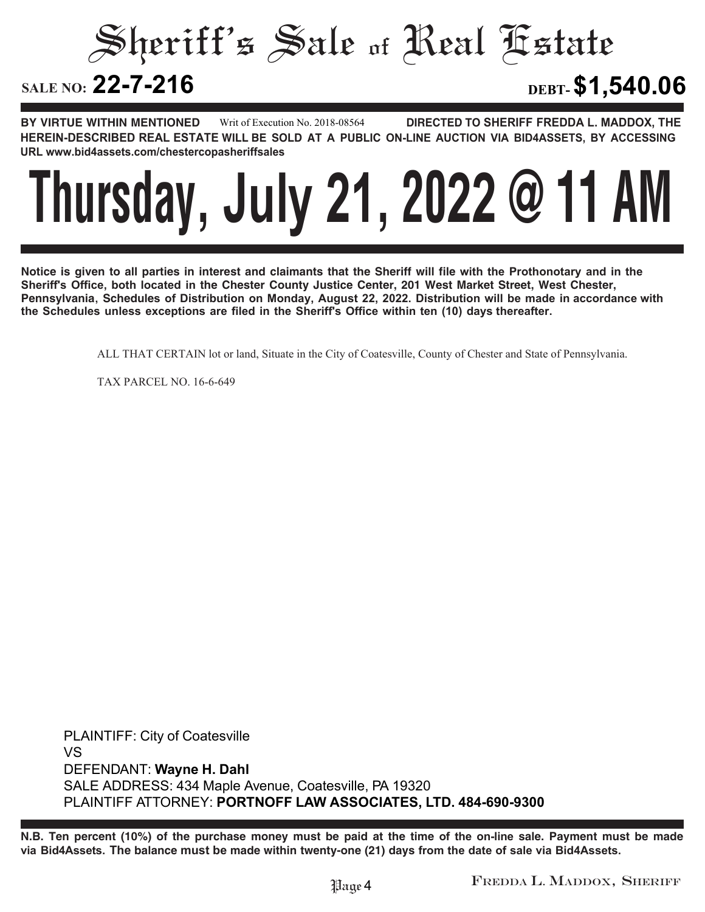Sheriff's Sale of Real Estate **SALE NO: 22-7-216 22-7-216 DEBT-\$1,540.06**

**BY VIRTUE WITHIN MENTIONED DIRECTED TO SHERIFF FREDDA L. MADDOX, THE HEREIN-DESCRIBED REAL ESTATE WILL BE SOLD AT A PUBLIC ON-LINE AUCTION VIA BID4ASSETS, BY ACCESSING URL www.bid4assets.com/chestercopasheriffsales Writ of Execution No. 2018-08564**



**Notice is given to all parties in interest and claimants that the Sheriff will file with the Prothonotary and in the Sheriff's Office, both located in the Chester County Justice Center, 201 West Market Street, West Chester, Pennsylvania, Schedules of Distribution on Monday, August 22, 2022. Distribution will be made in accordance with the Schedules unless exceptions are filed in the Sheriff's Office within ten (10) days thereafter.**

ALL THAT CERTAIN lot or land, Situate in the City of Coatesville, County of Chester and State of Pennsylvania.

TAX PARCEL NO. 16-6-649

**PLAINTIFF: City of Coatesville VS DEFENDANT: Wayne H. Dahl SALE ADDRESS: 434 Maple Avenue, Coatesville, PA 19320 PLAINTIFF ATTORNEY: PORTNOFF LAW ASSOCIATES, LTD. 484-690-9300**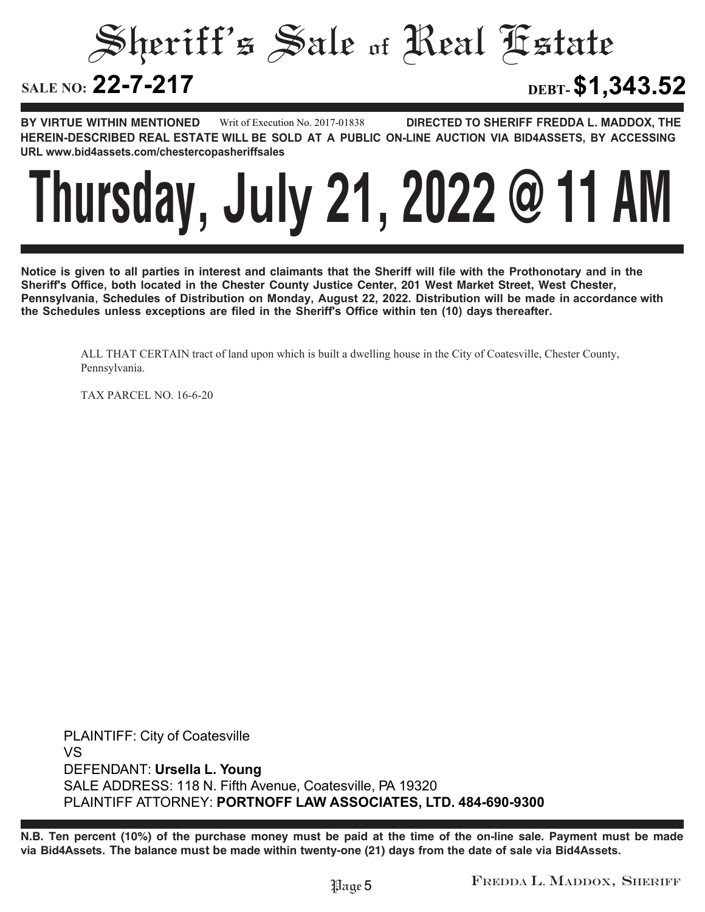Sheriff's Sale of Real Estate SALE NO: 22-7-217 **22-7-217 DEBT-\$1,343.52**

**BY VIRTUE WITHIN MENTIONED DIRECTED TO SHERIFF FREDDA L. MADDOX, THE HEREIN-DESCRIBED REAL ESTATE WILL BE SOLD AT A PUBLIC ON-LINE AUCTION VIA BID4ASSETS, BY ACCESSING URL www.bid4assets.com/chestercopasheriffsales Writ of Execution No. 2017-01838**



**Notice is given to all parties in interest and claimants that the Sheriff will file with the Prothonotary and in the Sheriff's Office, both located in the Chester County Justice Center, 201 West Market Street, West Chester, Pennsylvania, Schedules of Distribution on Monday, August 22, 2022. Distribution will be made in accordance with the Schedules unless exceptions are filed in the Sheriff's Office within ten (10) days thereafter.**

ALL THAT CERTAIN tract of land upon which is built a dwelling house in the City of Coatesville, Chester County, Pennsylvania.

TAX PARCEL NO. 16-6-20

**PLAINTIFF: City of Coatesville VS DEFENDANT: Ursella L. Young SALE ADDRESS: 118 N. Fifth Avenue, Coatesville, PA 19320 PLAINTIFF ATTORNEY: PORTNOFF LAW ASSOCIATES, LTD. 484-690-9300**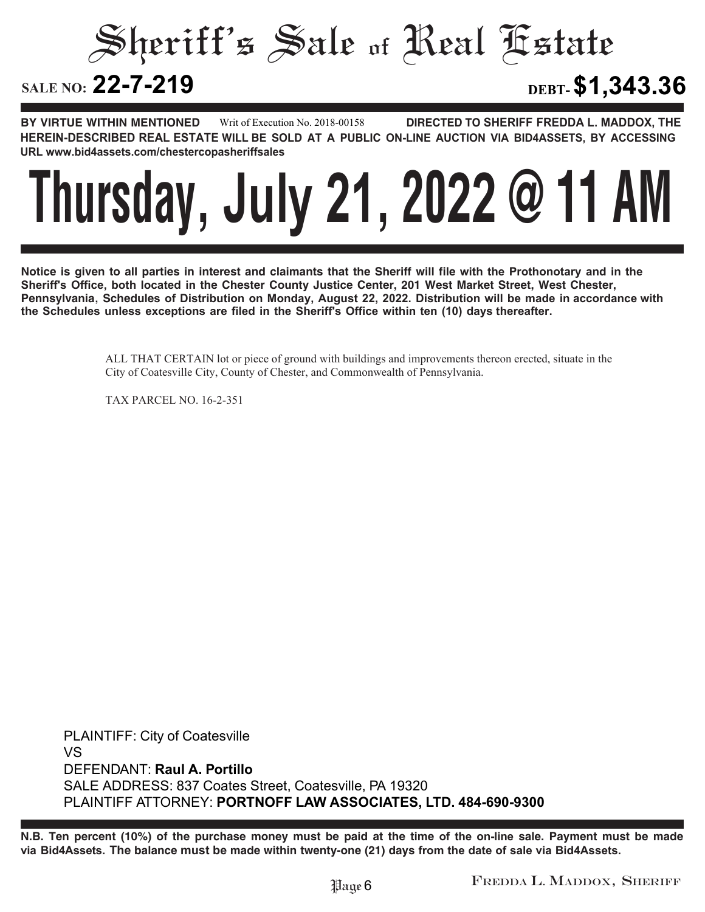Sheriff's Sale of Real Estate SALE NO: 22-7-219 **22-7-219 DEBT-\$1,343.36**

**BY VIRTUE WITHIN MENTIONED DIRECTED TO SHERIFF FREDDA L. MADDOX, THE HEREIN-DESCRIBED REAL ESTATE WILL BE SOLD AT A PUBLIC ON-LINE AUCTION VIA BID4ASSETS, BY ACCESSING URL www.bid4assets.com/chestercopasheriffsales Writ of Execution No. 2018-00158**



**Notice is given to all parties in interest and claimants that the Sheriff will file with the Prothonotary and in the Sheriff's Office, both located in the Chester County Justice Center, 201 West Market Street, West Chester, Pennsylvania, Schedules of Distribution on Monday, August 22, 2022. Distribution will be made in accordance with the Schedules unless exceptions are filed in the Sheriff's Office within ten (10) days thereafter.**

> ALL THAT CERTAIN lot or piece of ground with buildings and improvements thereon erected, situate in the City of Coatesville City, County of Chester, and Commonwealth of Pennsylvania.

TAX PARCEL NO. 16-2-351

**PLAINTIFF: City of Coatesville VS DEFENDANT: Raul A. Portillo SALE ADDRESS: 837 Coates Street, Coatesville, PA 19320 PLAINTIFF ATTORNEY: PORTNOFF LAW ASSOCIATES, LTD. 484-690-9300**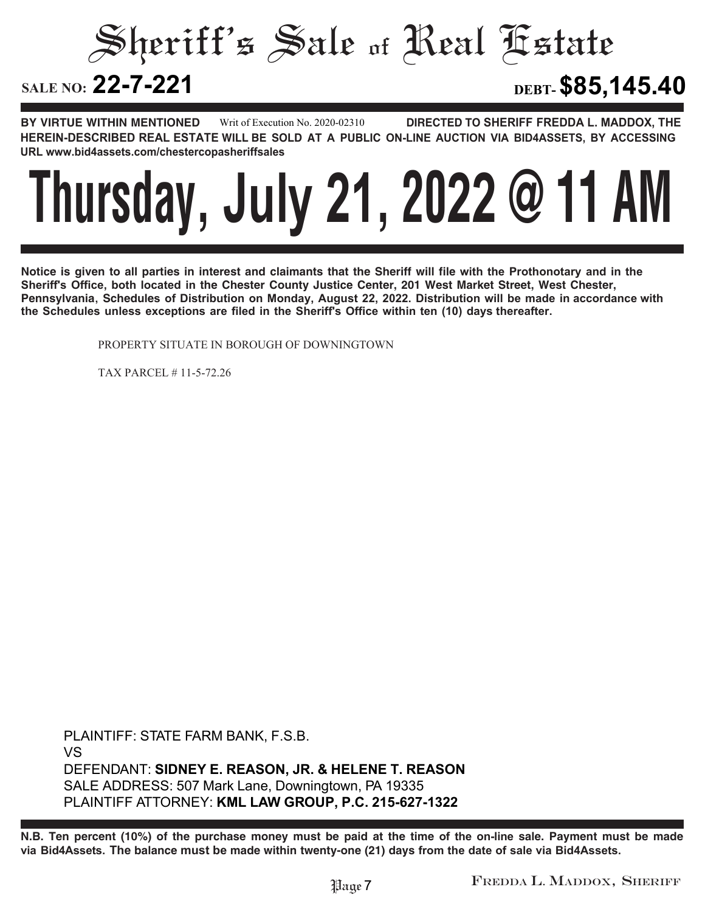Sheriff's Sale of Real Estate SALE NO: 22-7-221 **22-7-221 DEBT-\$85,145.40**

**BY VIRTUE WITHIN MENTIONED DIRECTED TO SHERIFF FREDDA L. MADDOX, THE HEREIN-DESCRIBED REAL ESTATE WILL BE SOLD AT A PUBLIC ON-LINE AUCTION VIA BID4ASSETS, BY ACCESSING URL www.bid4assets.com/chestercopasheriffsales Writ of Execution No. 2020-02310**



**Notice is given to all parties in interest and claimants that the Sheriff will file with the Prothonotary and in the Sheriff's Office, both located in the Chester County Justice Center, 201 West Market Street, West Chester, Pennsylvania, Schedules of Distribution on Monday, August 22, 2022. Distribution will be made in accordance with the Schedules unless exceptions are filed in the Sheriff's Office within ten (10) days thereafter.**

PROPERTY SITUATE IN BOROUGH OF DOWNINGTOWN

TAX PARCEL # 11-5-72.26

**PLAINTIFF: STATE FARM BANK, F.S.B. VS DEFENDANT: SIDNEY E. REASON, JR. & HELENE T. REASON SALE ADDRESS: 507 Mark Lane, Downingtown, PA 19335 PLAINTIFF ATTORNEY: KML LAW GROUP, P.C. 215-627-1322**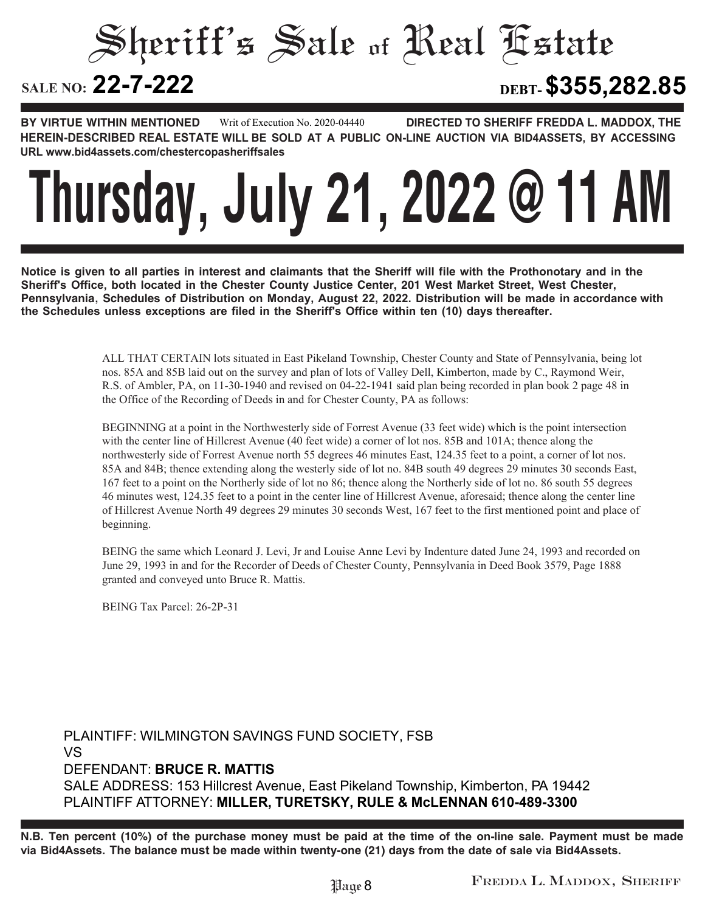## Sheriff's Sale of Real Estate SALE NO: **22-7-222 22-7-222 DEBT-\$355,282.85**

**BY VIRTUE WITHIN MENTIONED DIRECTED TO SHERIFF FREDDA L. MADDOX, THE HEREIN-DESCRIBED REAL ESTATE WILL BE SOLD AT A PUBLIC ON-LINE AUCTION VIA BID4ASSETS, BY ACCESSING URL www.bid4assets.com/chestercopasheriffsales Writ of Execution No. 2020-04440**

# **Thursday, July 21, 2022 @ 11 AM**

**Notice is given to all parties in interest and claimants that the Sheriff will file with the Prothonotary and in the Sheriff's Office, both located in the Chester County Justice Center, 201 West Market Street, West Chester, Pennsylvania, Schedules of Distribution on Monday, August 22, 2022. Distribution will be made in accordance with the Schedules unless exceptions are filed in the Sheriff's Office within ten (10) days thereafter.**

> ALL THAT CERTAIN lots situated in East Pikeland Township, Chester County and State of Pennsylvania, being lot nos. 85A and 85B laid out on the survey and plan of lots of Valley Dell, Kimberton, made by C., Raymond Weir, R.S. of Ambler, PA, on 11-30-1940 and revised on 04-22-1941 said plan being recorded in plan book 2 page 48 in the Office of the Recording of Deeds in and for Chester County, PA as follows:

> BEGINNING at a point in the Northwesterly side of Forrest Avenue (33 feet wide) which is the point intersection with the center line of Hillcrest Avenue (40 feet wide) a corner of lot nos. 85B and 101A; thence along the northwesterly side of Forrest Avenue north 55 degrees 46 minutes East, 124.35 feet to a point, a corner of lot nos. 85A and 84B; thence extending along the westerly side of lot no. 84B south 49 degrees 29 minutes 30 seconds East, 167 feet to a point on the Northerly side of lot no 86; thence along the Northerly side of lot no. 86 south 55 degrees 46 minutes west, 124.35 feet to a point in the center line of Hillcrest Avenue, aforesaid; thence along the center line of Hillcrest Avenue North 49 degrees 29 minutes 30 seconds West, 167 feet to the first mentioned point and place of beginning.

> BEING the same which Leonard J. Levi, Jr and Louise Anne Levi by Indenture dated June 24, 1993 and recorded on June 29, 1993 in and for the Recorder of Deeds of Chester County, Pennsylvania in Deed Book 3579, Page 1888 granted and conveyed unto Bruce R. Mattis.

BEING Tax Parcel: 26-2P-31

**PLAINTIFF: WILMINGTON SAVINGS FUND SOCIETY, FSB VS DEFENDANT: BRUCE R. MATTIS SALE ADDRESS: 153 Hillcrest Avenue, East Pikeland Township, Kimberton, PA 19442 PLAINTIFF ATTORNEY: MILLER, TURETSKY, RULE & McLENNAN 610-489-3300**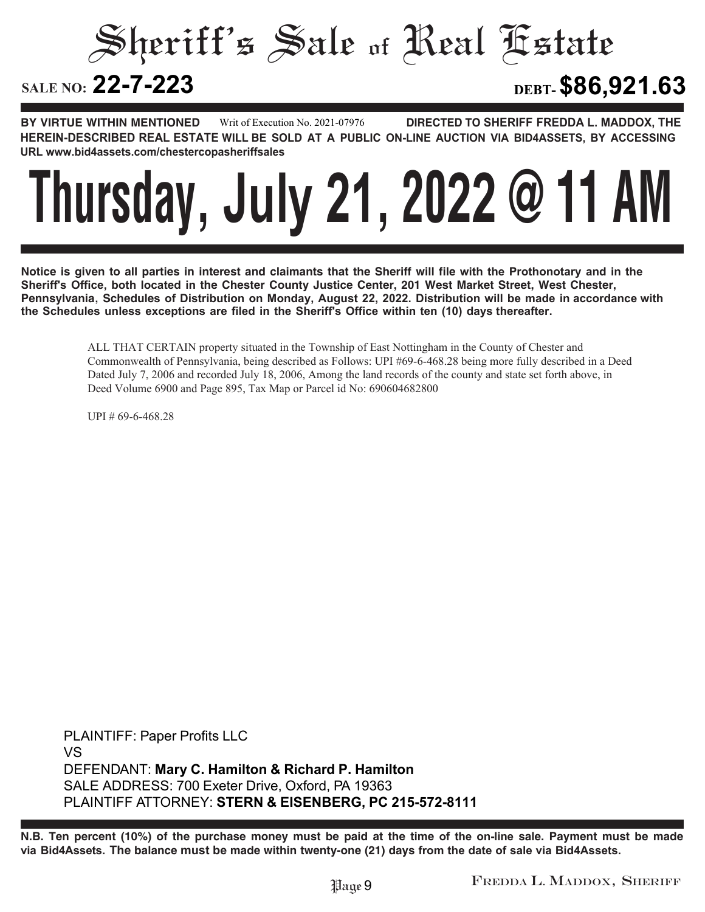Sheriff's Sale of Real Estate

# SALE NO: 22-7-223

**22-7-223 DEBT-\$86,921.63**

**BY VIRTUE WITHIN MENTIONED DIRECTED TO SHERIFF FREDDA L. MADDOX, THE HEREIN-DESCRIBED REAL ESTATE WILL BE SOLD AT A PUBLIC ON-LINE AUCTION VIA BID4ASSETS, BY ACCESSING URL www.bid4assets.com/chestercopasheriffsales Writ of Execution No. 2021-07976**



**Notice is given to all parties in interest and claimants that the Sheriff will file with the Prothonotary and in the Sheriff's Office, both located in the Chester County Justice Center, 201 West Market Street, West Chester, Pennsylvania, Schedules of Distribution on Monday, August 22, 2022. Distribution will be made in accordance with the Schedules unless exceptions are filed in the Sheriff's Office within ten (10) days thereafter.**

> ALL THAT CERTAIN property situated in the Township of East Nottingham in the County of Chester and Commonwealth of Pennsylvania, being described as Follows: UPI #69-6-468.28 being more fully described in a Deed Dated July 7, 2006 and recorded July 18, 2006, Among the land records of the county and state set forth above, in Deed Volume 6900 and Page 895, Tax Map or Parcel id No: 690604682800

UPI # 69-6-468.28

**PLAINTIFF: Paper Profits LLC VS DEFENDANT: Mary C. Hamilton & Richard P. Hamilton SALE ADDRESS: 700 Exeter Drive, Oxford, PA 19363 PLAINTIFF ATTORNEY: STERN & EISENBERG, PC 215-572-8111**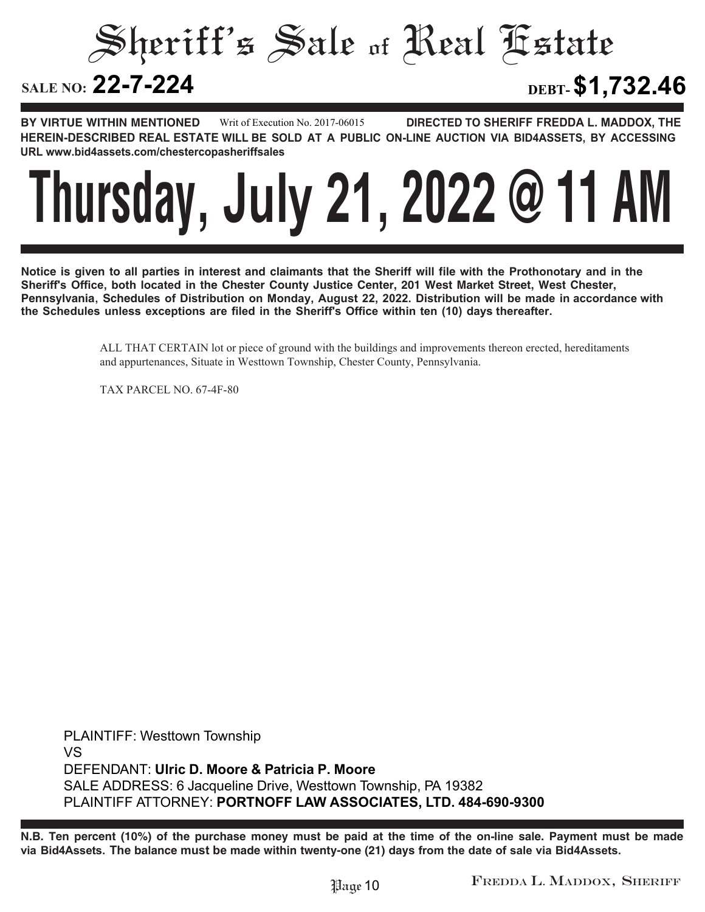Sheriff's Sale of Real Estate SALE NO: 22-7-224 **22-7-224 DEBT-\$1,732.46**

**BY VIRTUE WITHIN MENTIONED DIRECTED TO SHERIFF FREDDA L. MADDOX, THE HEREIN-DESCRIBED REAL ESTATE WILL BE SOLD AT A PUBLIC ON-LINE AUCTION VIA BID4ASSETS, BY ACCESSING URL www.bid4assets.com/chestercopasheriffsales Writ of Execution No. 2017-06015**



**Notice is given to all parties in interest and claimants that the Sheriff will file with the Prothonotary and in the Sheriff's Office, both located in the Chester County Justice Center, 201 West Market Street, West Chester, Pennsylvania, Schedules of Distribution on Monday, August 22, 2022. Distribution will be made in accordance with the Schedules unless exceptions are filed in the Sheriff's Office within ten (10) days thereafter.**

> ALL THAT CERTAIN lot or piece of ground with the buildings and improvements thereon erected, hereditaments and appurtenances, Situate in Westtown Township, Chester County, Pennsylvania.

TAX PARCEL NO. 67-4F-80

**PLAINTIFF: Westtown Township VS DEFENDANT: Ulric D. Moore & Patricia P. Moore SALE ADDRESS: 6 Jacqueline Drive, Westtown Township, PA 19382 PLAINTIFF ATTORNEY: PORTNOFF LAW ASSOCIATES, LTD. 484-690-9300**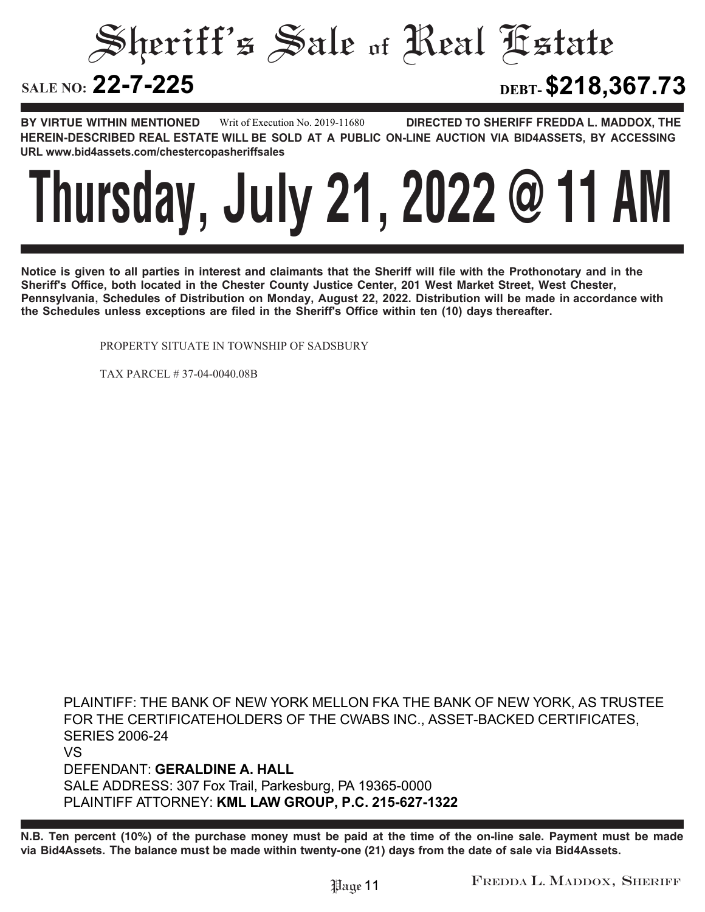### Sheriff's Sale of Real Estate SALE NO: 22-7-225 **22-7-225 DEBT-\$218,367.73**

**BY VIRTUE WITHIN MENTIONED DIRECTED TO SHERIFF FREDDA L. MADDOX, THE HEREIN-DESCRIBED REAL ESTATE WILL BE SOLD AT A PUBLIC ON-LINE AUCTION VIA BID4ASSETS, BY ACCESSING URL www.bid4assets.com/chestercopasheriffsales Writ of Execution No. 2019-11680**



**Notice is given to all parties in interest and claimants that the Sheriff will file with the Prothonotary and in the Sheriff's Office, both located in the Chester County Justice Center, 201 West Market Street, West Chester, Pennsylvania, Schedules of Distribution on Monday, August 22, 2022. Distribution will be made in accordance with the Schedules unless exceptions are filed in the Sheriff's Office within ten (10) days thereafter.**

PROPERTY SITUATE IN TOWNSHIP OF SADSBURY

TAX PARCEL # 37-04-0040.08B

**PLAINTIFF: THE BANK OF NEW YORK MELLON FKA THE BANK OF NEW YORK, AS TRUSTEE FOR THE CERTIFICATEHOLDERS OF THE CWABS INC., ASSET-BACKED CERTIFICATES, SERIES 2006-24 VS DEFENDANT: GERALDINE A. HALL SALE ADDRESS: 307 Fox Trail, Parkesburg, PA 19365-0000 PLAINTIFF ATTORNEY: KML LAW GROUP, P.C. 215-627-1322**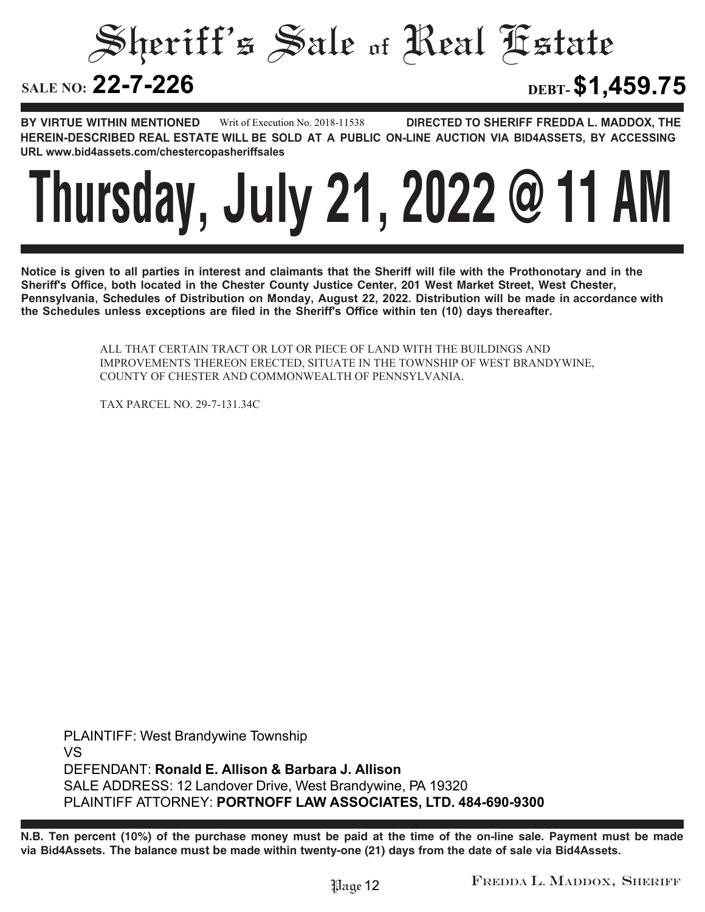Sheriff's Sale of Real Estate SALE NO: **22-7-226 22-7-226 DEBT-\$1,459.75**

### **BY VIRTUE WITHIN MENTIONED DIRECTED TO SHERIFF FREDDA L. MADDOX, THE Writ of Execution No. 2018-11538**

**HEREIN-DESCRIBED REAL ESTATE WILL BE SOLD AT A PUBLIC ON-LINE AUCTION VIA BID4ASSETS, BY ACCESSING URL www.bid4assets.com/chestercopasheriffsales**



**Notice is given to all parties in interest and claimants that the Sheriff will file with the Prothonotary and in the Sheriff's Office, both located in the Chester County Justice Center, 201 West Market Street, West Chester, Pennsylvania, Schedules of Distribution on Monday, August 22, 2022. Distribution will be made in accordance with the Schedules unless exceptions are filed in the Sheriff's Office within ten (10) days thereafter.**

> ALL THAT CERTAIN TRACT OR LOT OR PIECE OF LAND WITH THE BUILDINGS AND IMPROVEMENTS THEREON ERECTED, SITUATE IN THE TOWNSHIP OF WEST BRANDYWINE, COUNTY OF CHESTER AND COMMONWEALTH OF PENNSYLVANIA.

TAX PARCEL NO. 29-7-131.34C

**PLAINTIFF: West Brandywine Township VS DEFENDANT: Ronald E. Allison & Barbara J. Allison SALE ADDRESS: 12 Landover Drive, West Brandywine, PA 19320 PLAINTIFF ATTORNEY: PORTNOFF LAW ASSOCIATES, LTD. 484-690-9300**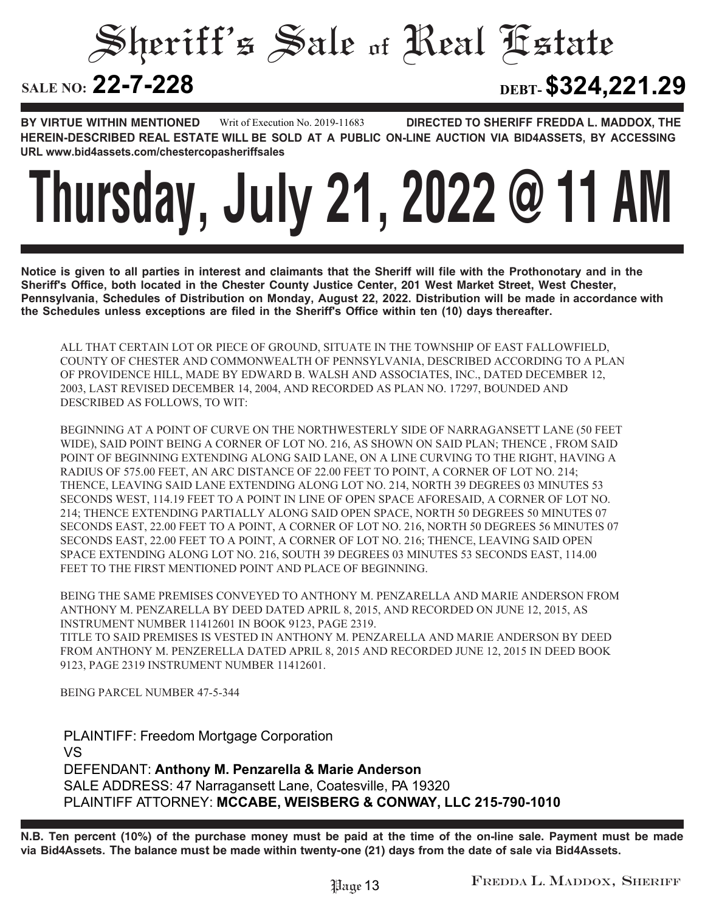# Sheriff's Sale of Real Estate

# SALE NO: **22-7-228**

**22-7-228 DEBT-\$324,221.29**

**BY VIRTUE WITHIN MENTIONED DIRECTED TO SHERIFF FREDDA L. MADDOX, THE HEREIN-DESCRIBED REAL ESTATE WILL BE SOLD AT A PUBLIC ON-LINE AUCTION VIA BID4ASSETS, BY ACCESSING URL www.bid4assets.com/chestercopasheriffsales Writ of Execution No. 2019-11683**

# **Thursday, July 21, 2022 @ 11 AM**

**Notice is given to all parties in interest and claimants that the Sheriff will file with the Prothonotary and in the Sheriff's Office, both located in the Chester County Justice Center, 201 West Market Street, West Chester, Pennsylvania, Schedules of Distribution on Monday, August 22, 2022. Distribution will be made in accordance with the Schedules unless exceptions are filed in the Sheriff's Office within ten (10) days thereafter.**

ALL THAT CERTAIN LOT OR PIECE OF GROUND, SITUATE IN THE TOWNSHIP OF EAST FALLOWFIELD, COUNTY OF CHESTER AND COMMONWEALTH OF PENNSYLVANIA, DESCRIBED ACCORDING TO A PLAN OF PROVIDENCE HILL, MADE BY EDWARD B. WALSH AND ASSOCIATES, INC., DATED DECEMBER 12, 2003, LAST REVISED DECEMBER 14, 2004, AND RECORDED AS PLAN NO. 17297, BOUNDED AND DESCRIBED AS FOLLOWS, TO WIT:

BEGINNING AT A POINT OF CURVE ON THE NORTHWESTERLY SIDE OF NARRAGANSETT LANE (50 FEET WIDE), SAID POINT BEING A CORNER OF LOT NO. 216, AS SHOWN ON SAID PLAN; THENCE , FROM SAID POINT OF BEGINNING EXTENDING ALONG SAID LANE, ON A LINE CURVING TO THE RIGHT, HAVING A RADIUS OF 575.00 FEET, AN ARC DISTANCE OF 22.00 FEET TO POINT, A CORNER OF LOT NO. 214; THENCE, LEAVING SAID LANE EXTENDING ALONG LOT NO. 214, NORTH 39 DEGREES 03 MINUTES 53 SECONDS WEST, 114.19 FEET TO A POINT IN LINE OF OPEN SPACE AFORESAID, A CORNER OF LOT NO. 214; THENCE EXTENDING PARTIALLY ALONG SAID OPEN SPACE, NORTH 50 DEGREES 50 MINUTES 07 SECONDS EAST, 22.00 FEET TO A POINT, A CORNER OF LOT NO. 216, NORTH 50 DEGREES 56 MINUTES 07 SECONDS EAST, 22.00 FEET TO A POINT, A CORNER OF LOT NO. 216; THENCE, LEAVING SAID OPEN SPACE EXTENDING ALONG LOT NO. 216, SOUTH 39 DEGREES 03 MINUTES 53 SECONDS EAST, 114.00 FEET TO THE FIRST MENTIONED POINT AND PLACE OF BEGINNING.

BEING THE SAME PREMISES CONVEYED TO ANTHONY M. PENZARELLA AND MARIE ANDERSON FROM ANTHONY M. PENZARELLA BY DEED DATED APRIL 8, 2015, AND RECORDED ON JUNE 12, 2015, AS INSTRUMENT NUMBER 11412601 IN BOOK 9123, PAGE 2319. TITLE TO SAID PREMISES IS VESTED IN ANTHONY M. PENZARELLA AND MARIE ANDERSON BY DEED FROM ANTHONY M. PENZERELLA DATED APRIL 8, 2015 AND RECORDED JUNE 12, 2015 IN DEED BOOK

9123, PAGE 2319 INSTRUMENT NUMBER 11412601.

BEING PARCEL NUMBER 47-5-344

**PLAINTIFF: Freedom Mortgage Corporation VS DEFENDANT: Anthony M. Penzarella & Marie Anderson SALE ADDRESS: 47 Narragansett Lane, Coatesville, PA 19320 PLAINTIFF ATTORNEY: MCCABE, WEISBERG & CONWAY, LLC 215-790-1010**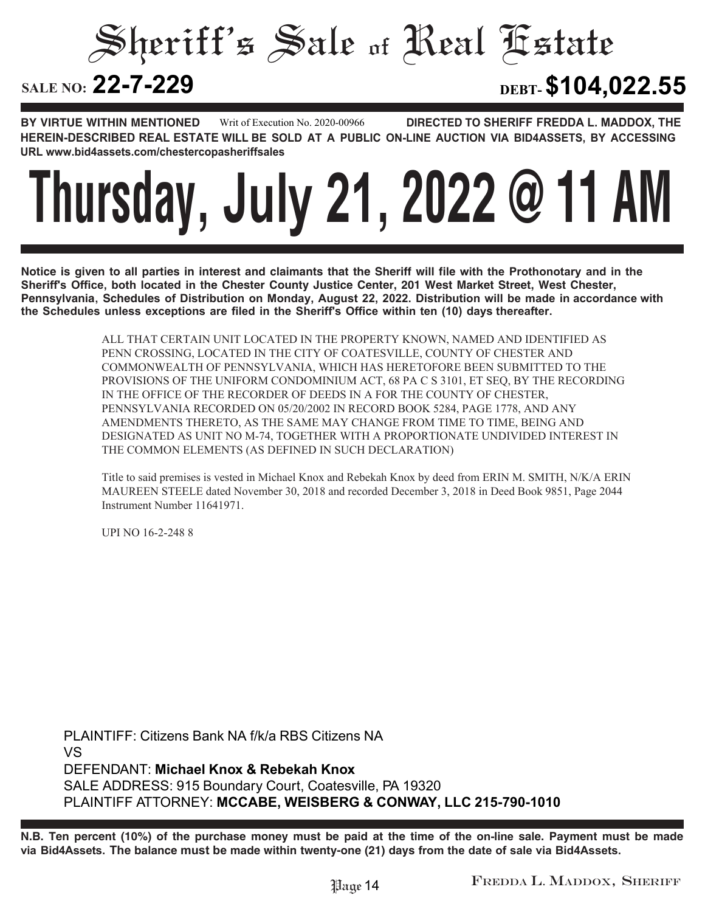### Sheriff's Sale of Real Estate SALE NO: 22-7-229 **22-7-229 DEBT-\$104,022.55**

**BY VIRTUE WITHIN MENTIONED DIRECTED TO SHERIFF FREDDA L. MADDOX, THE HEREIN-DESCRIBED REAL ESTATE WILL BE SOLD AT A PUBLIC ON-LINE AUCTION VIA BID4ASSETS, BY ACCESSING URL www.bid4assets.com/chestercopasheriffsales Writ of Execution No. 2020-00966**

# **Thursday, July 21, 2022 @ 11 AM**

**Notice is given to all parties in interest and claimants that the Sheriff will file with the Prothonotary and in the Sheriff's Office, both located in the Chester County Justice Center, 201 West Market Street, West Chester, Pennsylvania, Schedules of Distribution on Monday, August 22, 2022. Distribution will be made in accordance with the Schedules unless exceptions are filed in the Sheriff's Office within ten (10) days thereafter.**

> ALL THAT CERTAIN UNIT LOCATED IN THE PROPERTY KNOWN, NAMED AND IDENTIFIED AS PENN CROSSING, LOCATED IN THE CITY OF COATESVILLE, COUNTY OF CHESTER AND COMMONWEALTH OF PENNSYLVANIA, WHICH HAS HERETOFORE BEEN SUBMITTED TO THE PROVISIONS OF THE UNIFORM CONDOMINIUM ACT, 68 PA C S 3101, ET SEQ, BY THE RECORDING IN THE OFFICE OF THE RECORDER OF DEEDS IN A FOR THE COUNTY OF CHESTER, PENNSYLVANIA RECORDED ON 05/20/2002 IN RECORD BOOK 5284, PAGE 1778, AND ANY AMENDMENTS THERETO, AS THE SAME MAY CHANGE FROM TIME TO TIME, BEING AND DESIGNATED AS UNIT NO M-74, TOGETHER WITH A PROPORTIONATE UNDIVIDED INTEREST IN THE COMMON ELEMENTS (AS DEFINED IN SUCH DECLARATION)

Title to said premises is vested in Michael Knox and Rebekah Knox by deed from ERIN M. SMITH, N/K/A ERIN MAUREEN STEELE dated November 30, 2018 and recorded December 3, 2018 in Deed Book 9851, Page 2044 Instrument Number 11641971.

UPI NO 16-2-248 8

**PLAINTIFF: Citizens Bank NA f/k/a RBS Citizens NA VS DEFENDANT: Michael Knox & Rebekah Knox SALE ADDRESS: 915 Boundary Court, Coatesville, PA 19320 PLAINTIFF ATTORNEY: MCCABE, WEISBERG & CONWAY, LLC 215-790-1010**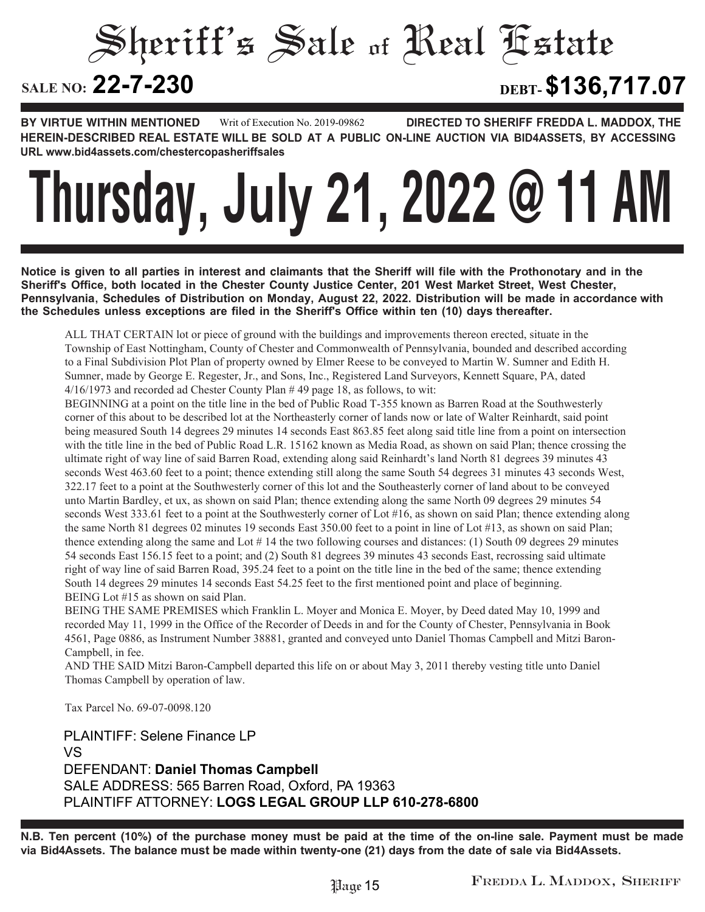# Sheriff's Sale of Real Estate SALE NO: 22-7-230 **22-7-230 DEBT-\$136,717.07**

**BY VIRTUE WITHIN MENTIONED DIRECTED TO SHERIFF FREDDA L. MADDOX, THE HEREIN-DESCRIBED REAL ESTATE WILL BE SOLD AT A PUBLIC ON-LINE AUCTION VIA BID4ASSETS, BY ACCESSING URL www.bid4assets.com/chestercopasheriffsales Writ of Execution No. 2019-09862**

# **Thursday, July 21, 2022 @ 11 AM**

**Notice is given to all parties in interest and claimants that the Sheriff will file with the Prothonotary and in the Sheriff's Office, both located in the Chester County Justice Center, 201 West Market Street, West Chester, Pennsylvania, Schedules of Distribution on Monday, August 22, 2022. Distribution will be made in accordance with the Schedules unless exceptions are filed in the Sheriff's Office within ten (10) days thereafter.**

ALL THAT CERTAIN lot or piece of ground with the buildings and improvements thereon erected, situate in the Township of East Nottingham, County of Chester and Commonwealth of Pennsylvania, bounded and described according to a Final Subdivision Plot Plan of property owned by Elmer Reese to be conveyed to Martin W. Sumner and Edith H. Sumner, made by George E. Regester, Jr., and Sons, Inc., Registered Land Surveyors, Kennett Square, PA, dated 4/16/1973 and recorded ad Chester County Plan # 49 page 18, as follows, to wit:

BEGINNING at a point on the title line in the bed of Public Road T-355 known as Barren Road at the Southwesterly corner of this about to be described lot at the Northeasterly corner of lands now or late of Walter Reinhardt, said point being measured South 14 degrees 29 minutes 14 seconds East 863.85 feet along said title line from a point on intersection with the title line in the bed of Public Road L.R. 15162 known as Media Road, as shown on said Plan; thence crossing the ultimate right of way line of said Barren Road, extending along said Reinhardt's land North 81 degrees 39 minutes 43 seconds West 463.60 feet to a point; thence extending still along the same South 54 degrees 31 minutes 43 seconds West, 322.17 feet to a point at the Southwesterly corner of this lot and the Southeasterly corner of land about to be conveyed unto Martin Bardley, et ux, as shown on said Plan; thence extending along the same North 09 degrees 29 minutes 54 seconds West 333.61 feet to a point at the Southwesterly corner of Lot #16, as shown on said Plan; thence extending along the same North 81 degrees 02 minutes 19 seconds East 350.00 feet to a point in line of Lot #13, as shown on said Plan; thence extending along the same and Lot # 14 the two following courses and distances: (1) South 09 degrees 29 minutes 54 seconds East 156.15 feet to a point; and (2) South 81 degrees 39 minutes 43 seconds East, recrossing said ultimate right of way line of said Barren Road, 395.24 feet to a point on the title line in the bed of the same; thence extending South 14 degrees 29 minutes 14 seconds East 54.25 feet to the first mentioned point and place of beginning. BEING Lot #15 as shown on said Plan.

BEING THE SAME PREMISES which Franklin L. Moyer and Monica E. Moyer, by Deed dated May 10, 1999 and recorded May 11, 1999 in the Office of the Recorder of Deeds in and for the County of Chester, Pennsylvania in Book 4561, Page 0886, as Instrument Number 38881, granted and conveyed unto Daniel Thomas Campbell and Mitzi Baron-Campbell, in fee.

AND THE SAID Mitzi Baron-Campbell departed this life on or about May 3, 2011 thereby vesting title unto Daniel Thomas Campbell by operation of law.

Tax Parcel No. 69-07-0098.120

**PLAINTIFF: Selene Finance LP VS DEFENDANT: Daniel Thomas Campbell SALE ADDRESS: 565 Barren Road, Oxford, PA 19363 PLAINTIFF ATTORNEY: LOGS LEGAL GROUP LLP 610-278-6800**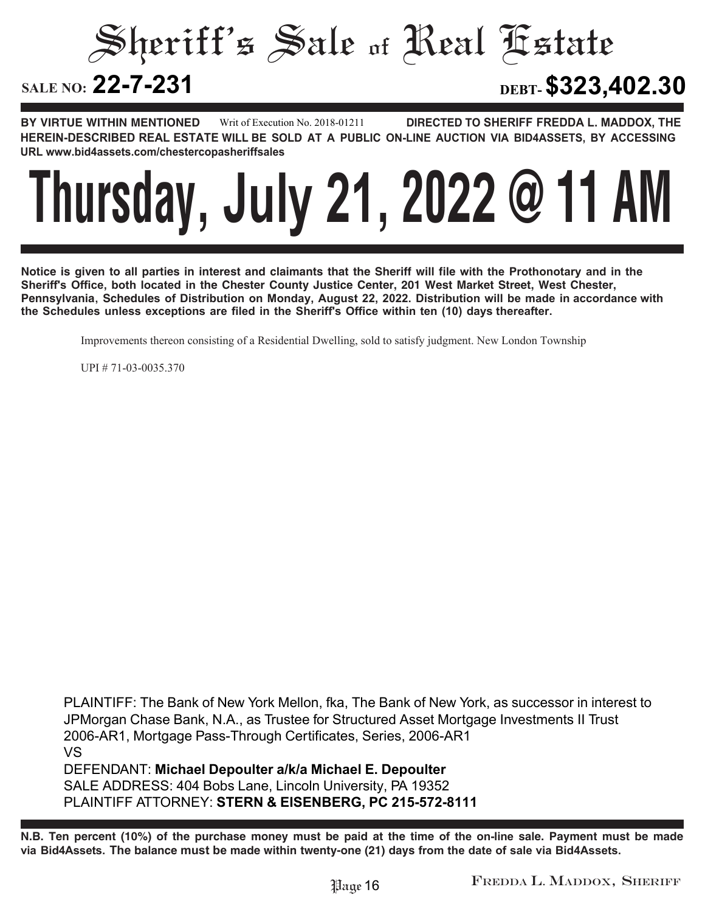Sheriff's Sale of Real Estate SALE NO: 22-7-231 **22-7-231 DEBT-\$323,402.30**

**BY VIRTUE WITHIN MENTIONED DIRECTED TO SHERIFF FREDDA L. MADDOX, THE HEREIN-DESCRIBED REAL ESTATE WILL BE SOLD AT A PUBLIC ON-LINE AUCTION VIA BID4ASSETS, BY ACCESSING URL www.bid4assets.com/chestercopasheriffsales Writ of Execution No. 2018-01211**



**Notice is given to all parties in interest and claimants that the Sheriff will file with the Prothonotary and in the Sheriff's Office, both located in the Chester County Justice Center, 201 West Market Street, West Chester, Pennsylvania, Schedules of Distribution on Monday, August 22, 2022. Distribution will be made in accordance with the Schedules unless exceptions are filed in the Sheriff's Office within ten (10) days thereafter.**

Improvements thereon consisting of a Residential Dwelling, sold to satisfy judgment. New London Township

UPI # 71-03-0035.370

**PLAINTIFF: The Bank of New York Mellon, fka, The Bank of New York, as successor in interest to JPMorgan Chase Bank, N.A., as Trustee for Structured Asset Mortgage Investments II Trust 2006-AR1, Mortgage Pass-Through Certificates, Series, 2006-AR1 VS DEFENDANT: Michael Depoulter a/k/a Michael E. Depoulter SALE ADDRESS: 404 Bobs Lane, Lincoln University, PA 19352 PLAINTIFF ATTORNEY: STERN & EISENBERG, PC 215-572-8111**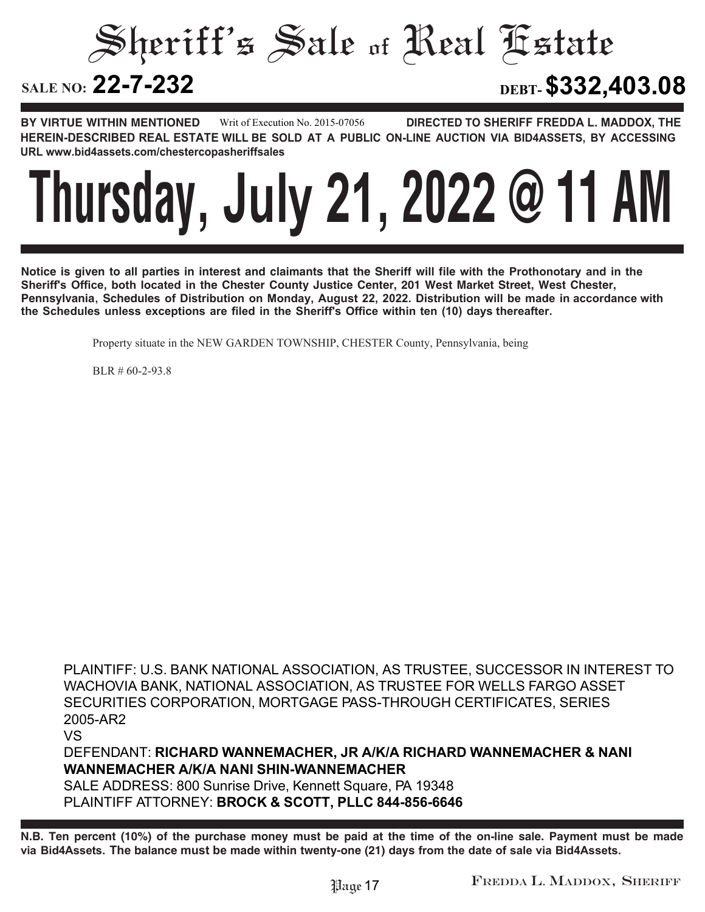Sheriff's Sale of Real Estate SALE NO: 22-7-232 **22-7-232 DEBT-\$332,403.08**

**BY VIRTUE WITHIN MENTIONED DIRECTED TO SHERIFF FREDDA L. MADDOX, THE HEREIN-DESCRIBED REAL ESTATE WILL BE SOLD AT A PUBLIC ON-LINE AUCTION VIA BID4ASSETS, BY ACCESSING URL www.bid4assets.com/chestercopasheriffsales Writ of Execution No. 2015-07056**



**Notice is given to all parties in interest and claimants that the Sheriff will file with the Prothonotary and in the Sheriff's Office, both located in the Chester County Justice Center, 201 West Market Street, West Chester, Pennsylvania, Schedules of Distribution on Monday, August 22, 2022. Distribution will be made in accordance with the Schedules unless exceptions are filed in the Sheriff's Office within ten (10) days thereafter.**

Property situate in the NEW GARDEN TOWNSHIP, CHESTER County, Pennsylvania, being

BLR # 60-2-93.8

**PLAINTIFF: U.S. BANK NATIONAL ASSOCIATION, AS TRUSTEE, SUCCESSOR IN INTEREST TO WACHOVIA BANK, NATIONAL ASSOCIATION, AS TRUSTEE FOR WELLS FARGO ASSET SECURITIES CORPORATION, MORTGAGE PASS-THROUGH CERTIFICATES, SERIES 2005-AR2 VS**

**DEFENDANT: RICHARD WANNEMACHER, JR A/K/A RICHARD WANNEMACHER & NANI WANNEMACHER A/K/A NANI SHIN-WANNEMACHER**

**SALE ADDRESS: 800 Sunrise Drive, Kennett Square, PA 19348 PLAINTIFF ATTORNEY: BROCK & SCOTT, PLLC 844-856-6646**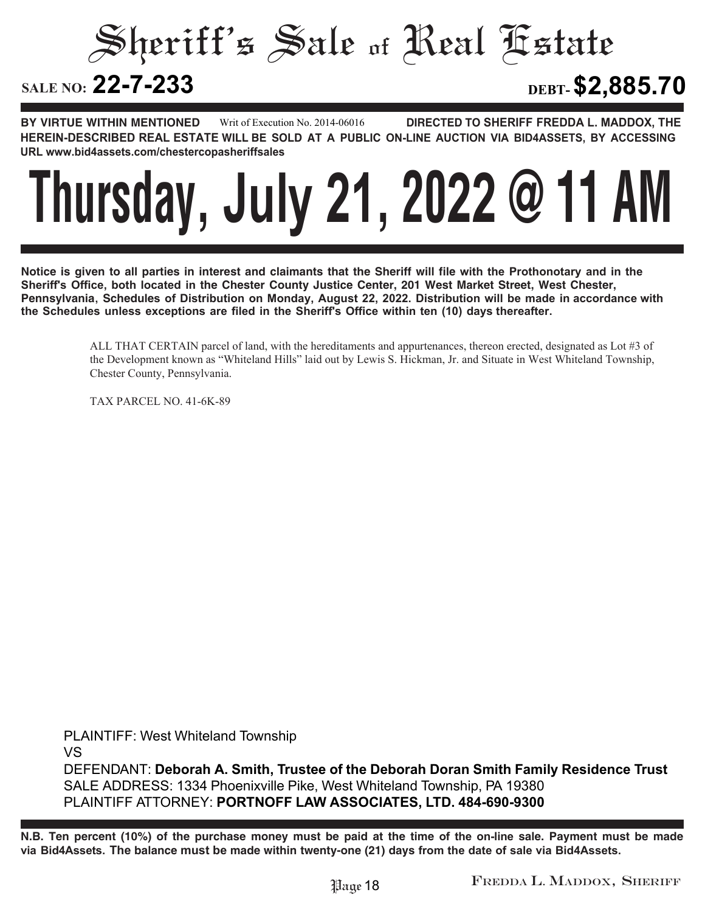Sheriff's Sale of Real Estate

# SALE NO: 22-7-233

**22-7-233 DEBT-\$2,885.70**

**BY VIRTUE WITHIN MENTIONED DIRECTED TO SHERIFF FREDDA L. MADDOX, THE HEREIN-DESCRIBED REAL ESTATE WILL BE SOLD AT A PUBLIC ON-LINE AUCTION VIA BID4ASSETS, BY ACCESSING URL www.bid4assets.com/chestercopasheriffsales Writ of Execution No. 2014-06016**



**Notice is given to all parties in interest and claimants that the Sheriff will file with the Prothonotary and in the Sheriff's Office, both located in the Chester County Justice Center, 201 West Market Street, West Chester, Pennsylvania, Schedules of Distribution on Monday, August 22, 2022. Distribution will be made in accordance with the Schedules unless exceptions are filed in the Sheriff's Office within ten (10) days thereafter.**

> ALL THAT CERTAIN parcel of land, with the hereditaments and appurtenances, thereon erected, designated as Lot #3 of the Development known as "Whiteland Hills" laid out by Lewis S. Hickman, Jr. and Situate in West Whiteland Township, Chester County, Pennsylvania.

TAX PARCEL NO. 41-6K-89

**PLAINTIFF: West Whiteland Township VS DEFENDANT: Deborah A. Smith, Trustee of the Deborah Doran Smith Family Residence Trust SALE ADDRESS: 1334 Phoenixville Pike, West Whiteland Township, PA 19380 PLAINTIFF ATTORNEY: PORTNOFF LAW ASSOCIATES, LTD. 484-690-9300**